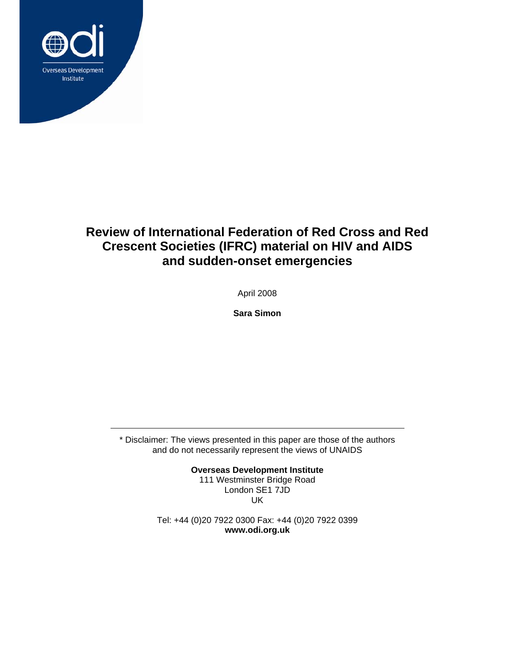

# **Review of International Federation of Red Cross and Red Crescent Societies (IFRC) material on HIV and AIDS and sudden-onset emergencies**

April 2008

**Sara Simon** 

\* Disclaimer: The views presented in this paper are those of the authors and do not necessarily represent the views of UNAIDS

> **Overseas Development Institute**  111 Westminster Bridge Road London SE1 7JD UK

Tel: +44 (0)20 7922 0300 Fax: +44 (0)20 7922 0399 **www.odi.org.uk**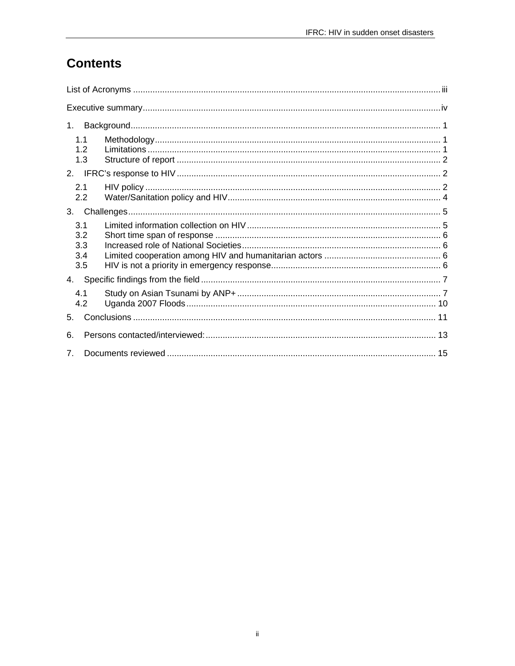# **Contents**

| 1.                              |  |  |
|---------------------------------|--|--|
| 11<br>1.2<br>1.3                |  |  |
| 2.                              |  |  |
| 2.1<br>2.2                      |  |  |
| 3 <sub>l</sub>                  |  |  |
| 3.1<br>3.2<br>3.3<br>3.4<br>3.5 |  |  |
| 4.                              |  |  |
| 4.1<br>4.2                      |  |  |
| $5 -$                           |  |  |
| 6.                              |  |  |
| $\mathbf{7}$                    |  |  |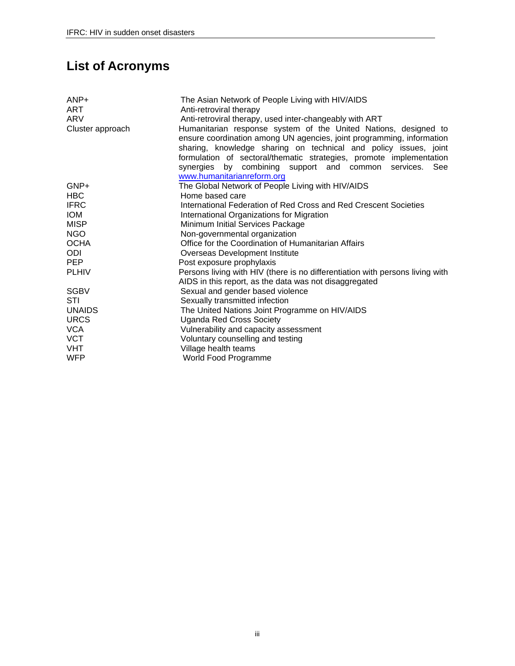# **List of Acronyms**

| $AND+$<br>ART<br><b>ARV</b><br>Cluster approach | The Asian Network of People Living with HIV/AIDS<br>Anti-retroviral therapy<br>Anti-retroviral therapy, used inter-changeably with ART<br>Humanitarian response system of the United Nations, designed to<br>ensure coordination among UN agencies, joint programming, information<br>sharing, knowledge sharing on technical and policy issues, joint<br>formulation of sectoral/thematic strategies, promote implementation<br>synergies by combining support and common services. See<br>www.humanitarianreform.org |
|-------------------------------------------------|------------------------------------------------------------------------------------------------------------------------------------------------------------------------------------------------------------------------------------------------------------------------------------------------------------------------------------------------------------------------------------------------------------------------------------------------------------------------------------------------------------------------|
| GNP+                                            | The Global Network of People Living with HIV/AIDS                                                                                                                                                                                                                                                                                                                                                                                                                                                                      |
| HBC                                             | Home based care                                                                                                                                                                                                                                                                                                                                                                                                                                                                                                        |
| <b>IFRC</b>                                     | International Federation of Red Cross and Red Crescent Societies                                                                                                                                                                                                                                                                                                                                                                                                                                                       |
| <b>IOM</b>                                      | International Organizations for Migration                                                                                                                                                                                                                                                                                                                                                                                                                                                                              |
| <b>MISP</b>                                     | Minimum Initial Services Package                                                                                                                                                                                                                                                                                                                                                                                                                                                                                       |
| <b>NGO</b>                                      | Non-governmental organization                                                                                                                                                                                                                                                                                                                                                                                                                                                                                          |
| <b>OCHA</b>                                     | Office for the Coordination of Humanitarian Affairs                                                                                                                                                                                                                                                                                                                                                                                                                                                                    |
| ODI                                             | Overseas Development Institute                                                                                                                                                                                                                                                                                                                                                                                                                                                                                         |
| <b>PEP</b>                                      | Post exposure prophylaxis                                                                                                                                                                                                                                                                                                                                                                                                                                                                                              |
| <b>PLHIV</b>                                    | Persons living with HIV (there is no differentiation with persons living with                                                                                                                                                                                                                                                                                                                                                                                                                                          |
|                                                 | AIDS in this report, as the data was not disaggregated                                                                                                                                                                                                                                                                                                                                                                                                                                                                 |
| <b>SGBV</b>                                     | Sexual and gender based violence                                                                                                                                                                                                                                                                                                                                                                                                                                                                                       |
| STI                                             | Sexually transmitted infection                                                                                                                                                                                                                                                                                                                                                                                                                                                                                         |
| <b>UNAIDS</b>                                   | The United Nations Joint Programme on HIV/AIDS                                                                                                                                                                                                                                                                                                                                                                                                                                                                         |
| <b>URCS</b>                                     | <b>Uganda Red Cross Society</b>                                                                                                                                                                                                                                                                                                                                                                                                                                                                                        |
| <b>VCA</b>                                      | Vulnerability and capacity assessment                                                                                                                                                                                                                                                                                                                                                                                                                                                                                  |
| <b>VCT</b>                                      | Voluntary counselling and testing                                                                                                                                                                                                                                                                                                                                                                                                                                                                                      |
| VHT                                             | Village health teams                                                                                                                                                                                                                                                                                                                                                                                                                                                                                                   |
| <b>WFP</b>                                      | World Food Programme                                                                                                                                                                                                                                                                                                                                                                                                                                                                                                   |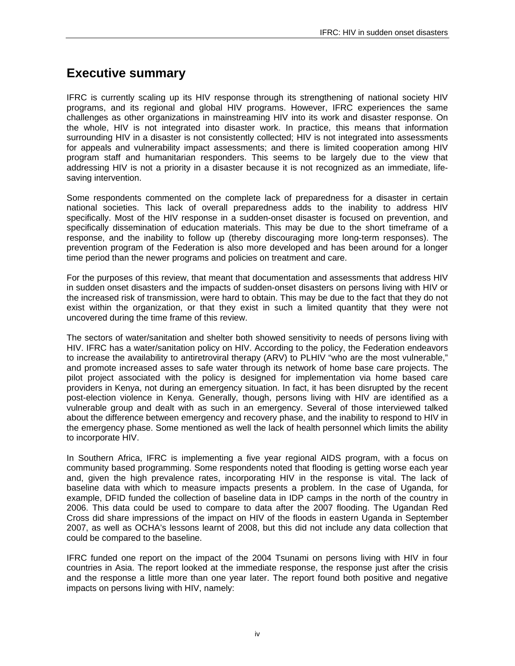## **Executive summary**

IFRC is currently scaling up its HIV response through its strengthening of national society HIV programs, and its regional and global HIV programs. However, IFRC experiences the same challenges as other organizations in mainstreaming HIV into its work and disaster response. On the whole, HIV is not integrated into disaster work. In practice, this means that information surrounding HIV in a disaster is not consistently collected; HIV is not integrated into assessments for appeals and vulnerability impact assessments; and there is limited cooperation among HIV program staff and humanitarian responders. This seems to be largely due to the view that addressing HIV is not a priority in a disaster because it is not recognized as an immediate, lifesaving intervention.

Some respondents commented on the complete lack of preparedness for a disaster in certain national societies. This lack of overall preparedness adds to the inability to address HIV specifically. Most of the HIV response in a sudden-onset disaster is focused on prevention, and specifically dissemination of education materials. This may be due to the short timeframe of a response, and the inability to follow up (thereby discouraging more long-term responses). The prevention program of the Federation is also more developed and has been around for a longer time period than the newer programs and policies on treatment and care.

For the purposes of this review, that meant that documentation and assessments that address HIV in sudden onset disasters and the impacts of sudden-onset disasters on persons living with HIV or the increased risk of transmission, were hard to obtain. This may be due to the fact that they do not exist within the organization, or that they exist in such a limited quantity that they were not uncovered during the time frame of this review.

The sectors of water/sanitation and shelter both showed sensitivity to needs of persons living with HIV. IFRC has a water/sanitation policy on HIV. According to the policy, the Federation endeavors to increase the availability to antiretroviral therapy (ARV) to PLHIV "who are the most vulnerable," and promote increased asses to safe water through its network of home base care projects. The pilot project associated with the policy is designed for implementation via home based care providers in Kenya, not during an emergency situation. In fact, it has been disrupted by the recent post-election violence in Kenya. Generally, though, persons living with HIV are identified as a vulnerable group and dealt with as such in an emergency. Several of those interviewed talked about the difference between emergency and recovery phase, and the inability to respond to HIV in the emergency phase. Some mentioned as well the lack of health personnel which limits the ability to incorporate HIV.

In Southern Africa, IFRC is implementing a five year regional AIDS program, with a focus on community based programming. Some respondents noted that flooding is getting worse each year and, given the high prevalence rates, incorporating HIV in the response is vital. The lack of baseline data with which to measure impacts presents a problem. In the case of Uganda, for example, DFID funded the collection of baseline data in IDP camps in the north of the country in 2006. This data could be used to compare to data after the 2007 flooding. The Ugandan Red Cross did share impressions of the impact on HIV of the floods in eastern Uganda in September 2007, as well as OCHA's lessons learnt of 2008, but this did not include any data collection that could be compared to the baseline.

IFRC funded one report on the impact of the 2004 Tsunami on persons living with HIV in four countries in Asia. The report looked at the immediate response, the response just after the crisis and the response a little more than one year later. The report found both positive and negative impacts on persons living with HIV, namely: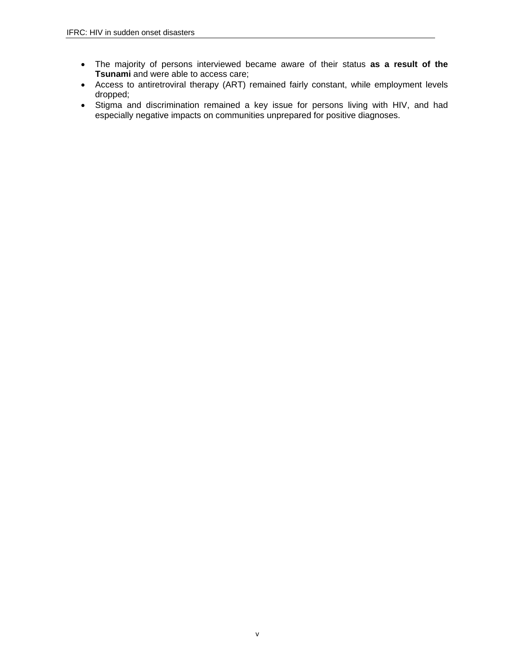- The majority of persons interviewed became aware of their status **as a result of the Tsunami** and were able to access care;
- Access to antiretroviral therapy (ART) remained fairly constant, while employment levels dropped;
- Stigma and discrimination remained a key issue for persons living with HIV, and had especially negative impacts on communities unprepared for positive diagnoses.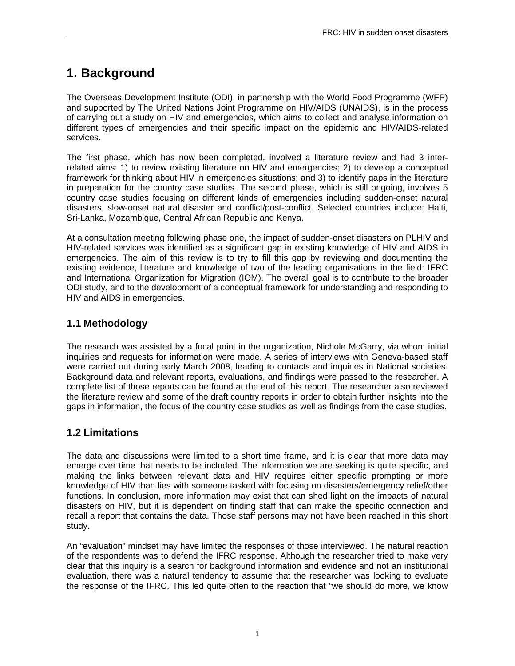# **1. Background**

The Overseas Development Institute (ODI), in partnership with the World Food Programme (WFP) and supported by The United Nations Joint Programme on HIV/AIDS (UNAIDS), is in the process of carrying out a study on HIV and emergencies, which aims to collect and analyse information on different types of emergencies and their specific impact on the epidemic and HIV/AIDS-related services.

The first phase, which has now been completed, involved a literature review and had 3 interrelated aims: 1) to review existing literature on HIV and emergencies; 2) to develop a conceptual framework for thinking about HIV in emergencies situations; and 3) to identify gaps in the literature in preparation for the country case studies. The second phase, which is still ongoing, involves 5 country case studies focusing on different kinds of emergencies including sudden-onset natural disasters, slow-onset natural disaster and conflict/post-conflict. Selected countries include: Haiti, Sri-Lanka, Mozambique, Central African Republic and Kenya.

At a consultation meeting following phase one, the impact of sudden-onset disasters on PLHIV and HIV-related services was identified as a significant gap in existing knowledge of HIV and AIDS in emergencies. The aim of this review is to try to fill this gap by reviewing and documenting the existing evidence, literature and knowledge of two of the leading organisations in the field: IFRC and International Organization for Migration (IOM). The overall goal is to contribute to the broader ODI study, and to the development of a conceptual framework for understanding and responding to HIV and AIDS in emergencies.

## **1.1 Methodology**

The research was assisted by a focal point in the organization, Nichole McGarry, via whom initial inquiries and requests for information were made. A series of interviews with Geneva-based staff were carried out during early March 2008, leading to contacts and inquiries in National societies. Background data and relevant reports, evaluations, and findings were passed to the researcher. A complete list of those reports can be found at the end of this report. The researcher also reviewed the literature review and some of the draft country reports in order to obtain further insights into the gaps in information, the focus of the country case studies as well as findings from the case studies.

## **1.2 Limitations**

The data and discussions were limited to a short time frame, and it is clear that more data may emerge over time that needs to be included. The information we are seeking is quite specific, and making the links between relevant data and HIV requires either specific prompting or more knowledge of HIV than lies with someone tasked with focusing on disasters/emergency relief/other functions. In conclusion, more information may exist that can shed light on the impacts of natural disasters on HIV, but it is dependent on finding staff that can make the specific connection and recall a report that contains the data. Those staff persons may not have been reached in this short study.

An "evaluation" mindset may have limited the responses of those interviewed. The natural reaction of the respondents was to defend the IFRC response. Although the researcher tried to make very clear that this inquiry is a search for background information and evidence and not an institutional evaluation, there was a natural tendency to assume that the researcher was looking to evaluate the response of the IFRC. This led quite often to the reaction that "we should do more, we know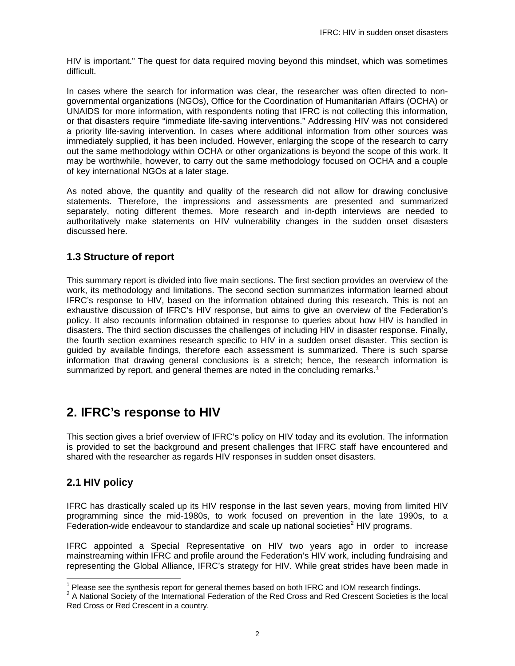HIV is important." The quest for data required moving beyond this mindset, which was sometimes difficult.

In cases where the search for information was clear, the researcher was often directed to nongovernmental organizations (NGOs), Office for the Coordination of Humanitarian Affairs (OCHA) or UNAIDS for more information, with respondents noting that IFRC is not collecting this information, or that disasters require "immediate life-saving interventions." Addressing HIV was not considered a priority life-saving intervention. In cases where additional information from other sources was immediately supplied, it has been included. However, enlarging the scope of the research to carry out the same methodology within OCHA or other organizations is beyond the scope of this work. It may be worthwhile, however, to carry out the same methodology focused on OCHA and a couple of key international NGOs at a later stage.

As noted above, the quantity and quality of the research did not allow for drawing conclusive statements. Therefore, the impressions and assessments are presented and summarized separately, noting different themes. More research and in-depth interviews are needed to authoritatively make statements on HIV vulnerability changes in the sudden onset disasters discussed here.

### **1.3 Structure of report**

This summary report is divided into five main sections. The first section provides an overview of the work, its methodology and limitations. The second section summarizes information learned about IFRC's response to HIV, based on the information obtained during this research. This is not an exhaustive discussion of IFRC's HIV response, but aims to give an overview of the Federation's policy. It also recounts information obtained in response to queries about how HIV is handled in disasters. The third section discusses the challenges of including HIV in disaster response. Finally, the fourth section examines research specific to HIV in a sudden onset disaster. This section is guided by available findings, therefore each assessment is summarized. There is such sparse information that drawing general conclusions is a stretch; hence, the research information is summarized by report, and general themes are noted in the concluding remarks.<sup>1</sup>

## **2. IFRC's response to HIV**

This section gives a brief overview of IFRC's policy on HIV today and its evolution. The information is provided to set the background and present challenges that IFRC staff have encountered and shared with the researcher as regards HIV responses in sudden onset disasters.

## **2.1 HIV policy**

 $\overline{a}$ 

IFRC has drastically scaled up its HIV response in the last seven years, moving from limited HIV programming since the mid-1980s, to work focused on prevention in the late 1990s, to a Federation-wide endeavour to standardize and scale up national societies<sup>2</sup> HIV programs.

IFRC appointed a Special Representative on HIV two years ago in order to increase mainstreaming within IFRC and profile around the Federation's HIV work, including fundraising and representing the Global Alliance, IFRC's strategy for HIV. While great strides have been made in

<sup>1</sup> Please see the synthesis report for general themes based on both IFRC and IOM research findings.

<sup>&</sup>lt;sup>2</sup> A National Society of the International Federation of the Red Cross and Red Crescent Societies is the local Red Cross or Red Crescent in a country.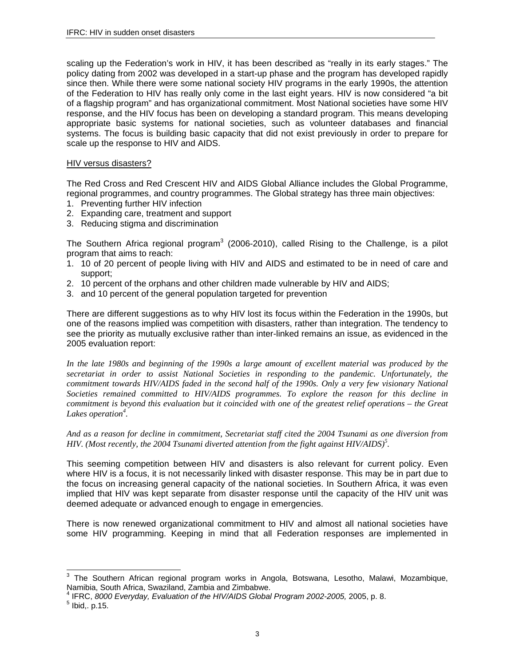scaling up the Federation's work in HIV, it has been described as "really in its early stages." The policy dating from 2002 was developed in a start-up phase and the program has developed rapidly since then. While there were some national society HIV programs in the early 1990s, the attention of the Federation to HIV has really only come in the last eight years. HIV is now considered "a bit of a flagship program" and has organizational commitment. Most National societies have some HIV response, and the HIV focus has been on developing a standard program. This means developing appropriate basic systems for national societies, such as volunteer databases and financial systems. The focus is building basic capacity that did not exist previously in order to prepare for scale up the response to HIV and AIDS.

#### HIV versus disasters?

The Red Cross and Red Crescent HIV and AIDS Global Alliance includes the Global Programme, regional programmes, and country programmes. The Global strategy has three main objectives:

- 1. Preventing further HIV infection
- 2. Expanding care, treatment and support
- 3. Reducing stigma and discrimination

The Southern Africa regional program<sup>3</sup> (2006-2010), called Rising to the Challenge, is a pilot program that aims to reach:

- 1. 10 of 20 percent of people living with HIV and AIDS and estimated to be in need of care and support;
- 2. 10 percent of the orphans and other children made vulnerable by HIV and AIDS;
- 3. and 10 percent of the general population targeted for prevention

There are different suggestions as to why HIV lost its focus within the Federation in the 1990s, but one of the reasons implied was competition with disasters, rather than integration. The tendency to see the priority as mutually exclusive rather than inter-linked remains an issue, as evidenced in the 2005 evaluation report:

*In the late 1980s and beginning of the 1990s a large amount of excellent material was produced by the secretariat in order to assist National Societies in responding to the pandemic. Unfortunately, the commitment towards HIV/AIDS faded in the second half of the 1990s. Only a very few visionary National Societies remained committed to HIV/AIDS programmes. To explore the reason for this decline in commitment is beyond this evaluation but it coincided with one of the greatest relief operations – the Great Lakes operation<sup>4</sup> .* 

*And as a reason for decline in commitment, Secretariat staff cited the 2004 Tsunami as one diversion from HIV. (Most recently, the 2004 Tsunami diverted attention from the fight against HIV/AIDS)<sup>5</sup> .* 

This seeming competition between HIV and disasters is also relevant for current policy. Even where HIV is a focus, it is not necessarily linked with disaster response. This may be in part due to the focus on increasing general capacity of the national societies. In Southern Africa, it was even implied that HIV was kept separate from disaster response until the capacity of the HIV unit was deemed adequate or advanced enough to engage in emergencies.

There is now renewed organizational commitment to HIV and almost all national societies have some HIV programming. Keeping in mind that all Federation responses are implemented in

 $\overline{a}$ 

 $3$  The Southern African regional program works in Angola, Botswana, Lesotho, Malawi, Mozambique, Namibia, South Africa, Swaziland, Zambia and Zimbabwe.

<sup>4</sup> IFRC, *8000 Everyday, Evaluation of the HIV/AIDS Global Program 2002-2005,* 2005, p. 8. 5

 $<sup>5</sup>$  Ibid,. p.15.</sup>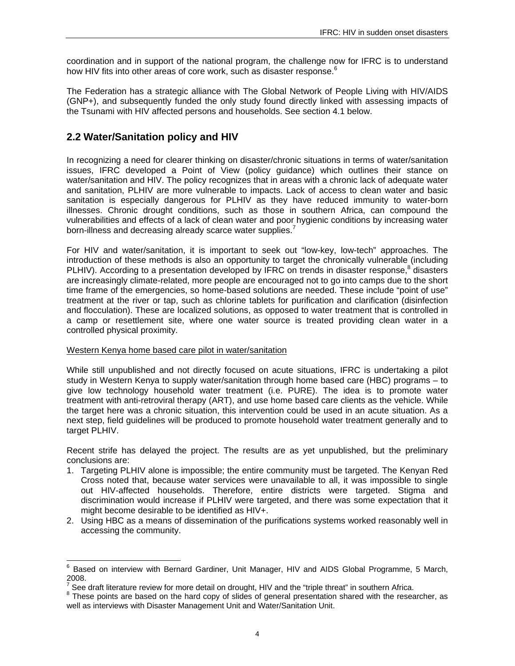coordination and in support of the national program, the challenge now for IFRC is to understand how HIV fits into other areas of core work, such as disaster response.<sup>6</sup>

The Federation has a strategic alliance with The Global Network of People Living with HIV/AIDS (GNP+), and subsequently funded the only study found directly linked with assessing impacts of the Tsunami with HIV affected persons and households. See section 4.1 below.

### **2.2 Water/Sanitation policy and HIV**

In recognizing a need for clearer thinking on disaster/chronic situations in terms of water/sanitation issues, IFRC developed a Point of View (policy guidance) which outlines their stance on water/sanitation and HIV. The policy recognizes that in areas with a chronic lack of adequate water and sanitation, PLHIV are more vulnerable to impacts. Lack of access to clean water and basic sanitation is especially dangerous for PLHIV as they have reduced immunity to water-born illnesses. Chronic drought conditions, such as those in southern Africa, can compound the vulnerabilities and effects of a lack of clean water and poor hygienic conditions by increasing water born-illness and decreasing already scarce water supplies.<sup>7</sup>

For HIV and water/sanitation, it is important to seek out "low-key, low-tech" approaches. The introduction of these methods is also an opportunity to target the chronically vulnerable (including PLHIV). According to a presentation developed by IFRC on trends in disaster response,<sup>8</sup> disasters are increasingly climate-related, more people are encouraged not to go into camps due to the short time frame of the emergencies, so home-based solutions are needed. These include "point of use" treatment at the river or tap, such as chlorine tablets for purification and clarification (disinfection and flocculation). These are localized solutions, as opposed to water treatment that is controlled in a camp or resettlement site, where one water source is treated providing clean water in a controlled physical proximity.

#### Western Kenya home based care pilot in water/sanitation

While still unpublished and not directly focused on acute situations, IFRC is undertaking a pilot study in Western Kenya to supply water/sanitation through home based care (HBC) programs – to give low technology household water treatment (i.e. PURE). The idea is to promote water treatment with anti-retroviral therapy (ART), and use home based care clients as the vehicle. While the target here was a chronic situation, this intervention could be used in an acute situation. As a next step, field guidelines will be produced to promote household water treatment generally and to target PLHIV.

Recent strife has delayed the project. The results are as yet unpublished, but the preliminary conclusions are:

- 1. Targeting PLHIV alone is impossible; the entire community must be targeted. The Kenyan Red Cross noted that, because water services were unavailable to all, it was impossible to single out HIV-affected households. Therefore, entire districts were targeted. Stigma and discrimination would increase if PLHIV were targeted, and there was some expectation that it might become desirable to be identified as HIV+.
- 2. Using HBC as a means of dissemination of the purifications systems worked reasonably well in accessing the community.

 6 Based on interview with Bernard Gardiner, Unit Manager, HIV and AIDS Global Programme, 5 March, 2008.

<sup>7</sup> See draft literature review for more detail on drought, HIV and the "triple threat" in southern Africa.

 $8$  These points are based on the hard copy of slides of general presentation shared with the researcher, as well as interviews with Disaster Management Unit and Water/Sanitation Unit.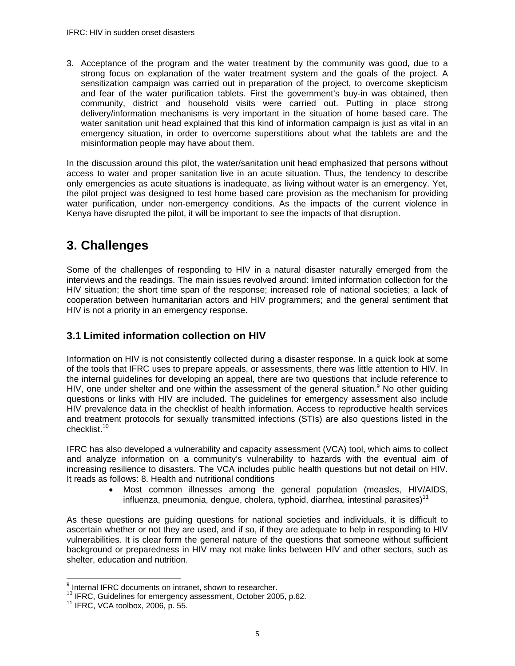3. Acceptance of the program and the water treatment by the community was good, due to a strong focus on explanation of the water treatment system and the goals of the project. A sensitization campaign was carried out in preparation of the project, to overcome skepticism and fear of the water purification tablets. First the government's buy-in was obtained, then community, district and household visits were carried out. Putting in place strong delivery/information mechanisms is very important in the situation of home based care. The water sanitation unit head explained that this kind of information campaign is just as vital in an emergency situation, in order to overcome superstitions about what the tablets are and the misinformation people may have about them.

In the discussion around this pilot, the water/sanitation unit head emphasized that persons without access to water and proper sanitation live in an acute situation. Thus, the tendency to describe only emergencies as acute situations is inadequate, as living without water is an emergency. Yet, the pilot project was designed to test home based care provision as the mechanism for providing water purification, under non-emergency conditions. As the impacts of the current violence in Kenya have disrupted the pilot, it will be important to see the impacts of that disruption.

## **3. Challenges**

Some of the challenges of responding to HIV in a natural disaster naturally emerged from the interviews and the readings. The main issues revolved around: limited information collection for the HIV situation; the short time span of the response; increased role of national societies; a lack of cooperation between humanitarian actors and HIV programmers; and the general sentiment that HIV is not a priority in an emergency response.

### **3.1 Limited information collection on HIV**

Information on HIV is not consistently collected during a disaster response. In a quick look at some of the tools that IFRC uses to prepare appeals, or assessments, there was little attention to HIV. In the internal guidelines for developing an appeal, there are two questions that include reference to HIV, one under shelter and one within the assessment of the general situation.<sup>9</sup> No other guiding questions or links with HIV are included. The guidelines for emergency assessment also include HIV prevalence data in the checklist of health information. Access to reproductive health services and treatment protocols for sexually transmitted infections (STIs) are also questions listed in the checklist.<sup>10</sup>

IFRC has also developed a vulnerability and capacity assessment (VCA) tool, which aims to collect and analyze information on a community's vulnerability to hazards with the eventual aim of increasing resilience to disasters. The VCA includes public health questions but not detail on HIV. It reads as follows: 8. Health and nutritional conditions

> • Most common illnesses among the general population (measles, HIV/AIDS, influenza, pneumonia, dengue, cholera, typhoid, diarrhea, intestinal parasites)<sup>11</sup>

As these questions are guiding questions for national societies and individuals, it is difficult to ascertain whether or not they are used, and if so, if they are adequate to help in responding to HIV vulnerabilities. It is clear form the general nature of the questions that someone without sufficient background or preparedness in HIV may not make links between HIV and other sectors, such as shelter, education and nutrition.

 9 Internal IFRC documents on intranet, shown to researcher.

<sup>10</sup> IFRC, Guidelines for emergency assessment, October 2005, p.62.<br><sup>11</sup> IFRC, VCA toolbox, 2006, p. 55.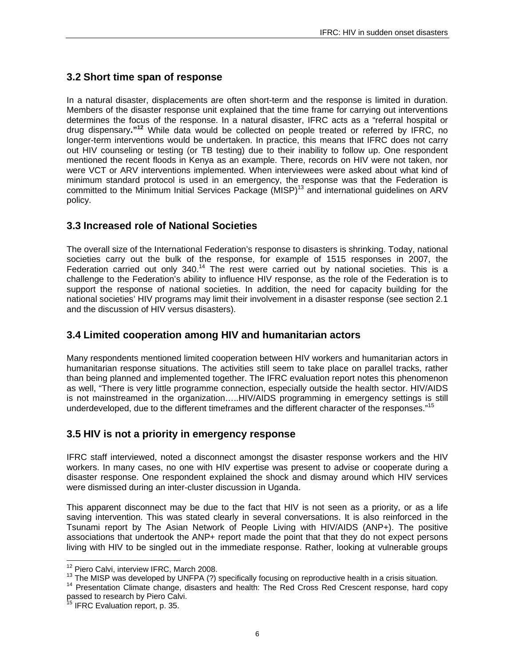## **3.2 Short time span of response**

In a natural disaster, displacements are often short-term and the response is limited in duration. Members of the disaster response unit explained that the time frame for carrying out interventions determines the focus of the response. In a natural disaster, IFRC acts as a "referral hospital or drug dispensary**."12** While data would be collected on people treated or referred by IFRC, no longer-term interventions would be undertaken. In practice, this means that IFRC does not carry out HIV counseling or testing (or TB testing) due to their inability to follow up. One respondent mentioned the recent floods in Kenya as an example. There, records on HIV were not taken, nor were VCT or ARV interventions implemented. When interviewees were asked about what kind of minimum standard protocol is used in an emergency, the response was that the Federation is committed to the Minimum Initial Services Package (MISP)<sup>13</sup> and international guidelines on ARV policy.

### **3.3 Increased role of National Societies**

The overall size of the International Federation's response to disasters is shrinking. Today, national societies carry out the bulk of the response, for example of 1515 responses in 2007, the Federation carried out only  $340.^{14}$  The rest were carried out by national societies. This is a challenge to the Federation's ability to influence HIV response, as the role of the Federation is to support the response of national societies. In addition, the need for capacity building for the national societies' HIV programs may limit their involvement in a disaster response (see section 2.1 and the discussion of HIV versus disasters).

### **3.4 Limited cooperation among HIV and humanitarian actors**

Many respondents mentioned limited cooperation between HIV workers and humanitarian actors in humanitarian response situations. The activities still seem to take place on parallel tracks, rather than being planned and implemented together. The IFRC evaluation report notes this phenomenon as well, "There is very little programme connection, especially outside the health sector. HIV/AIDS is not mainstreamed in the organization…..HIV/AIDS programming in emergency settings is still underdeveloped, due to the different timeframes and the different character of the responses."<sup>15</sup>

### **3.5 HIV is not a priority in emergency response**

IFRC staff interviewed, noted a disconnect amongst the disaster response workers and the HIV workers. In many cases, no one with HIV expertise was present to advise or cooperate during a disaster response. One respondent explained the shock and dismay around which HIV services were dismissed during an inter-cluster discussion in Uganda.

This apparent disconnect may be due to the fact that HIV is not seen as a priority, or as a life saving intervention. This was stated clearly in several conversations. It is also reinforced in the Tsunami report by The Asian Network of People Living with HIV/AIDS (ANP+). The positive associations that undertook the ANP+ report made the point that that they do not expect persons living with HIV to be singled out in the immediate response. Rather, looking at vulnerable groups

<sup>&</sup>lt;sup>12</sup> Piero Calvi, interview IFRC, March 2008.

 $^{13}$  The MISP was developed by UNFPA (?) specifically focusing on reproductive health in a crisis situation.<br><sup>14</sup> Presentation Climate change, disasters and health: The Red Cross Red Crescent response, hard copy passed to research by Piero Calvi.

<sup>15</sup> IFRC Evaluation report, p. 35.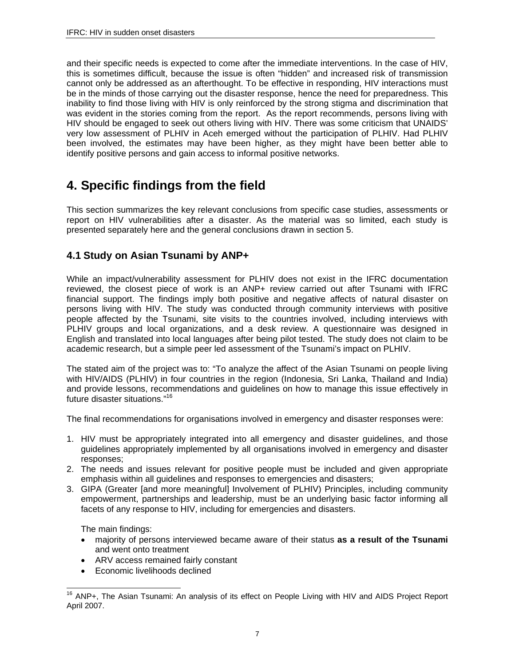and their specific needs is expected to come after the immediate interventions. In the case of HIV, this is sometimes difficult, because the issue is often "hidden" and increased risk of transmission cannot only be addressed as an afterthought. To be effective in responding, HIV interactions must be in the minds of those carrying out the disaster response, hence the need for preparedness. This inability to find those living with HIV is only reinforced by the strong stigma and discrimination that was evident in the stories coming from the report. As the report recommends, persons living with HIV should be engaged to seek out others living with HIV. There was some criticism that UNAIDS' very low assessment of PLHIV in Aceh emerged without the participation of PLHIV. Had PLHIV been involved, the estimates may have been higher, as they might have been better able to identify positive persons and gain access to informal positive networks.

## **4. Specific findings from the field**

This section summarizes the key relevant conclusions from specific case studies, assessments or report on HIV vulnerabilities after a disaster. As the material was so limited, each study is presented separately here and the general conclusions drawn in section 5.

## **4.1 Study on Asian Tsunami by ANP+**

While an impact/vulnerability assessment for PLHIV does not exist in the IFRC documentation reviewed, the closest piece of work is an ANP+ review carried out after Tsunami with IFRC financial support. The findings imply both positive and negative affects of natural disaster on persons living with HIV. The study was conducted through community interviews with positive people affected by the Tsunami, site visits to the countries involved, including interviews with PLHIV groups and local organizations, and a desk review. A questionnaire was designed in English and translated into local languages after being pilot tested. The study does not claim to be academic research, but a simple peer led assessment of the Tsunami's impact on PLHIV.

The stated aim of the project was to: "To analyze the affect of the Asian Tsunami on people living with HIV/AIDS (PLHIV) in four countries in the region (Indonesia, Sri Lanka, Thailand and India) and provide lessons, recommendations and guidelines on how to manage this issue effectively in future disaster situations."16

The final recommendations for organisations involved in emergency and disaster responses were:

- 1. HIV must be appropriately integrated into all emergency and disaster guidelines, and those guidelines appropriately implemented by all organisations involved in emergency and disaster responses;
- 2. The needs and issues relevant for positive people must be included and given appropriate emphasis within all guidelines and responses to emergencies and disasters;
- 3. GIPA (Greater [and more meaningful] Involvement of PLHIV) Principles, including community empowerment, partnerships and leadership, must be an underlying basic factor informing all facets of any response to HIV, including for emergencies and disasters.

The main findings:

- majority of persons interviewed became aware of their status **as a result of the Tsunami** and went onto treatment
- ARV access remained fairly constant
- Economic livelihoods declined

 $\overline{a}$ <sup>16</sup> ANP+, The Asian Tsunami: An analysis of its effect on People Living with HIV and AIDS Project Report April 2007.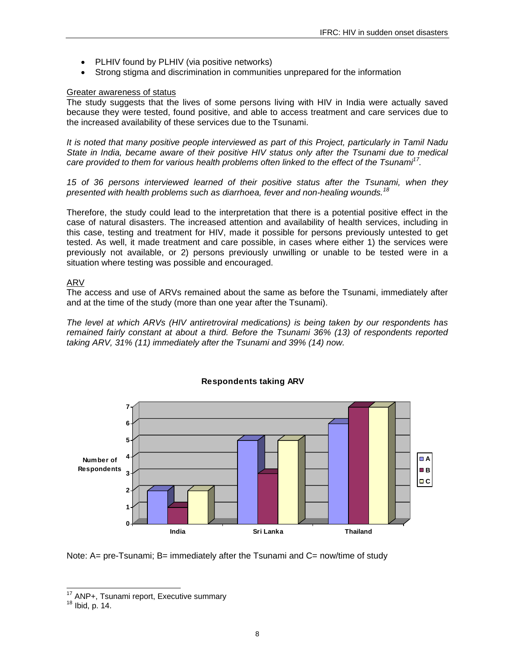- PLHIV found by PLHIV (via positive networks)
- Strong stigma and discrimination in communities unprepared for the information

### Greater awareness of status

The study suggests that the lives of some persons living with HIV in India were actually saved because they were tested, found positive, and able to access treatment and care services due to the increased availability of these services due to the Tsunami.

*It is noted that many positive people interviewed as part of this Project, particularly in Tamil Nadu State in India, became aware of their positive HIV status only after the Tsunami due to medical care provided to them for various health problems often linked to the effect of the Tsunami17.* 

*15 of 36 persons interviewed learned of their positive status after the Tsunami, when they presented with health problems such as diarrhoea, fever and non-healing wounds.<sup>18</sup>*

Therefore, the study could lead to the interpretation that there is a potential positive effect in the case of natural disasters. The increased attention and availability of health services, including in this case, testing and treatment for HIV, made it possible for persons previously untested to get tested. As well, it made treatment and care possible, in cases where either 1) the services were previously not available, or 2) persons previously unwilling or unable to be tested were in a situation where testing was possible and encouraged.

### ARV

The access and use of ARVs remained about the same as before the Tsunami, immediately after and at the time of the study (more than one year after the Tsunami).

*The level at which ARVs (HIV antiretroviral medications) is being taken by our respondents has remained fairly constant at about a third. Before the Tsunami 36% (13) of respondents reported taking ARV, 31% (11) immediately after the Tsunami and 39% (14) now.* 



### **Respondents taking ARV**

Note: A= pre-Tsunami; B= immediately after the Tsunami and C= now/time of study

 $\overline{a}$  $17$  ANP+, Tsunami report, Executive summary  $18$  Ibid, p. 14.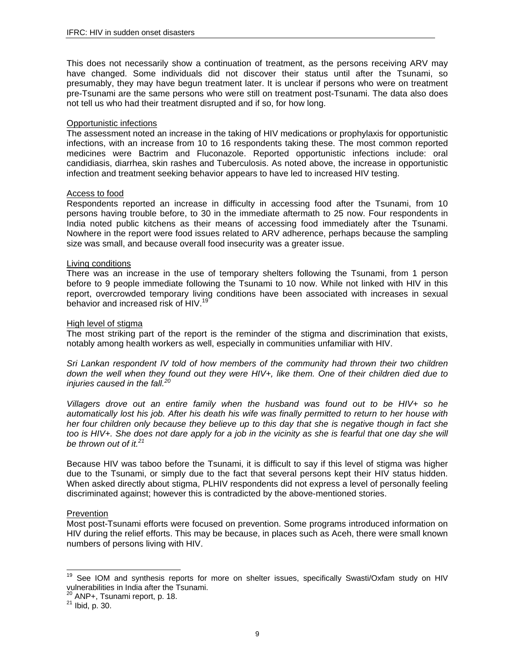This does not necessarily show a continuation of treatment, as the persons receiving ARV may have changed. Some individuals did not discover their status until after the Tsunami, so presumably, they may have begun treatment later. It is unclear if persons who were on treatment pre-Tsunami are the same persons who were still on treatment post-Tsunami. The data also does not tell us who had their treatment disrupted and if so, for how long.

#### Opportunistic infections

The assessment noted an increase in the taking of HIV medications or prophylaxis for opportunistic infections, with an increase from 10 to 16 respondents taking these. The most common reported medicines were Bactrim and Fluconazole. Reported opportunistic infections include: oral candidiasis, diarrhea, skin rashes and Tuberculosis. As noted above, the increase in opportunistic infection and treatment seeking behavior appears to have led to increased HIV testing.

### Access to food

Respondents reported an increase in difficulty in accessing food after the Tsunami, from 10 persons having trouble before, to 30 in the immediate aftermath to 25 now. Four respondents in India noted public kitchens as their means of accessing food immediately after the Tsunami. Nowhere in the report were food issues related to ARV adherence, perhaps because the sampling size was small, and because overall food insecurity was a greater issue.

### Living conditions

There was an increase in the use of temporary shelters following the Tsunami, from 1 person before to 9 people immediate following the Tsunami to 10 now. While not linked with HIV in this report, overcrowded temporary living conditions have been associated with increases in sexual behavior and increased risk of HIV.<sup>19</sup>

### High level of stigma

The most striking part of the report is the reminder of the stigma and discrimination that exists, notably among health workers as well, especially in communities unfamiliar with HIV.

*Sri Lankan respondent IV told of how members of the community had thrown their two children down the well when they found out they were HIV+, like them. One of their children died due to injuries caused in the fall.<sup>20</sup>*

*Villagers drove out an entire family when the husband was found out to be HIV+ so he automatically lost his job. After his death his wife was finally permitted to return to her house with her four children only because they believe up to this day that she is negative though in fact she too is HIV+. She does not dare apply for a job in the vicinity as she is fearful that one day she will be thrown out of it.<sup>21</sup>*

Because HIV was taboo before the Tsunami, it is difficult to say if this level of stigma was higher due to the Tsunami, or simply due to the fact that several persons kept their HIV status hidden. When asked directly about stigma, PLHIV respondents did not express a level of personally feeling discriminated against; however this is contradicted by the above-mentioned stories.

### **Prevention**

Most post-Tsunami efforts were focused on prevention. Some programs introduced information on HIV during the relief efforts. This may be because, in places such as Aceh, there were small known numbers of persons living with HIV.

 $\overline{a}$ 

<sup>&</sup>lt;sup>19</sup> See IOM and synthesis reports for more on shelter issues, specifically Swasti/Oxfam study on HIV vulnerabilities in India after the Tsunami.

 $^{20}$  ANP+, Tsunami report, p. 18.<br> $^{21}$  Ibid, p. 30.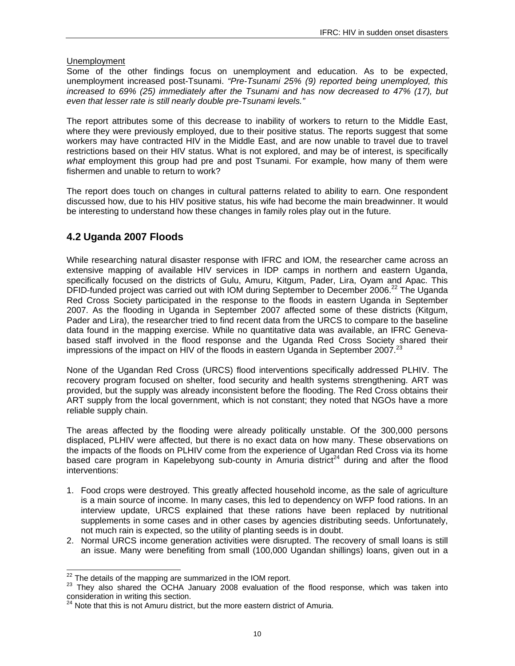#### Unemployment

Some of the other findings focus on unemployment and education. As to be expected, unemployment increased post-Tsunami. *"Pre-Tsunami 25% (9) reported being unemployed, this increased to 69% (25) immediately after the Tsunami and has now decreased to 47% (17), but even that lesser rate is still nearly double pre-Tsunami levels."*

The report attributes some of this decrease to inability of workers to return to the Middle East, where they were previously employed, due to their positive status. The reports suggest that some workers may have contracted HIV in the Middle East, and are now unable to travel due to travel restrictions based on their HIV status. What is not explored, and may be of interest, is specifically *what* employment this group had pre and post Tsunami. For example, how many of them were fishermen and unable to return to work?

The report does touch on changes in cultural patterns related to ability to earn. One respondent discussed how, due to his HIV positive status, his wife had become the main breadwinner. It would be interesting to understand how these changes in family roles play out in the future.

### **4.2 Uganda 2007 Floods**

While researching natural disaster response with IFRC and IOM, the researcher came across an extensive mapping of available HIV services in IDP camps in northern and eastern Uganda, specifically focused on the districts of Gulu, Amuru, Kitgum, Pader, Lira, Oyam and Apac. This DFID-funded project was carried out with IOM during September to December 2006.<sup>22</sup> The Uganda Red Cross Society participated in the response to the floods in eastern Uganda in September 2007. As the flooding in Uganda in September 2007 affected some of these districts (Kitgum, Pader and Lira), the researcher tried to find recent data from the URCS to compare to the baseline data found in the mapping exercise. While no quantitative data was available, an IFRC Genevabased staff involved in the flood response and the Uganda Red Cross Society shared their impressions of the impact on HIV of the floods in eastern Uganda in September 2007.<sup>23</sup>

None of the Ugandan Red Cross (URCS) flood interventions specifically addressed PLHIV. The recovery program focused on shelter, food security and health systems strengthening. ART was provided, but the supply was already inconsistent before the flooding. The Red Cross obtains their ART supply from the local government, which is not constant; they noted that NGOs have a more reliable supply chain.

The areas affected by the flooding were already politically unstable. Of the 300,000 persons displaced, PLHIV were affected, but there is no exact data on how many. These observations on the impacts of the floods on PLHIV come from the experience of Ugandan Red Cross via its home based care program in Kapelebyong sub-county in Amuria district<sup>24</sup> during and after the flood interventions:

- 1. Food crops were destroyed. This greatly affected household income, as the sale of agriculture is a main source of income. In many cases, this led to dependency on WFP food rations. In an interview update, URCS explained that these rations have been replaced by nutritional supplements in some cases and in other cases by agencies distributing seeds. Unfortunately, not much rain is expected, so the utility of planting seeds is in doubt.
- 2. Normal URCS income generation activities were disrupted. The recovery of small loans is still an issue. Many were benefiting from small (100,000 Ugandan shillings) loans, given out in a

<sup>&</sup>lt;sup>22</sup> The details of the mapping are summarized in the IOM report.

<sup>&</sup>lt;sup>23</sup> They also shared the OCHA January 2008 evaluation of the flood response, which was taken into consideration in writing this section.

 $24$  Note that this is not Amuru district, but the more eastern district of Amuria.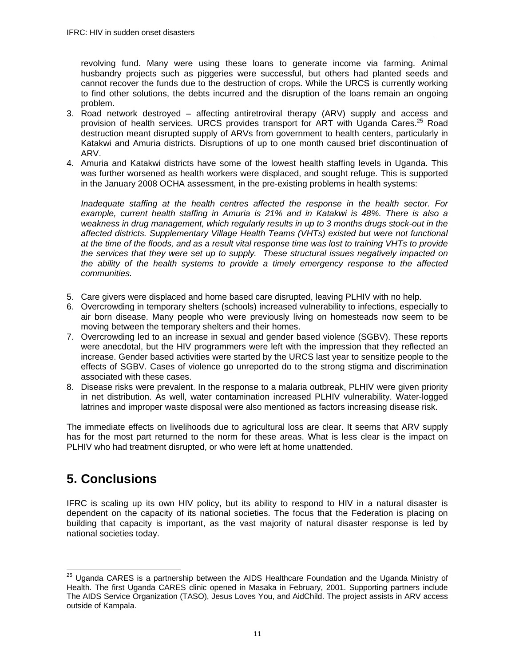revolving fund. Many were using these loans to generate income via farming. Animal husbandry projects such as piggeries were successful, but others had planted seeds and cannot recover the funds due to the destruction of crops. While the URCS is currently working to find other solutions, the debts incurred and the disruption of the loans remain an ongoing problem.

- 3. Road network destroyed affecting antiretroviral therapy (ARV) supply and access and provision of health services. URCS provides transport for ART with Uganda Cares.<sup>25</sup> Road destruction meant disrupted supply of ARVs from government to health centers, particularly in Katakwi and Amuria districts. Disruptions of up to one month caused brief discontinuation of ARV.
- 4. Amuria and Katakwi districts have some of the lowest health staffing levels in Uganda. This was further worsened as health workers were displaced, and sought refuge. This is supported in the January 2008 OCHA assessment, in the pre-existing problems in health systems:

*Inadequate staffing at the health centres affected the response in the health sector. For example, current health staffing in Amuria is 21% and in Katakwi is 48%. There is also a weakness in drug management, which regularly results in up to 3 months drugs stock-out in the affected districts. Supplementary Village Health Teams (VHTs) existed but were not functional at the time of the floods, and as a result vital response time was lost to training VHTs to provide the services that they were set up to supply. These structural issues negatively impacted on the ability of the health systems to provide a timely emergency response to the affected communities.*

- 5. Care givers were displaced and home based care disrupted, leaving PLHIV with no help.
- 6. Overcrowding in temporary shelters (schools) increased vulnerability to infections, especially to air born disease. Many people who were previously living on homesteads now seem to be moving between the temporary shelters and their homes.
- 7. Overcrowding led to an increase in sexual and gender based violence (SGBV). These reports were anecdotal, but the HIV programmers were left with the impression that they reflected an increase. Gender based activities were started by the URCS last year to sensitize people to the effects of SGBV. Cases of violence go unreported do to the strong stigma and discrimination associated with these cases.
- 8. Disease risks were prevalent. In the response to a malaria outbreak, PLHIV were given priority in net distribution. As well, water contamination increased PLHIV vulnerability. Water-logged latrines and improper waste disposal were also mentioned as factors increasing disease risk.

The immediate effects on livelihoods due to agricultural loss are clear. It seems that ARV supply has for the most part returned to the norm for these areas. What is less clear is the impact on PLHIV who had treatment disrupted, or who were left at home unattended.

# **5. Conclusions**

IFRC is scaling up its own HIV policy, but its ability to respond to HIV in a natural disaster is dependent on the capacity of its national societies. The focus that the Federation is placing on building that capacity is important, as the vast majority of natural disaster response is led by national societies today.

 $\overline{a}$  $^{25}$  Uganda CARES is a partnership between the AIDS Healthcare Foundation and the Uganda Ministry of Health. The first Uganda CARES clinic opened in Masaka in February, 2001. Supporting partners include The AIDS Service Organization (TASO), Jesus Loves You, and AidChild. The project assists in ARV access outside of Kampala.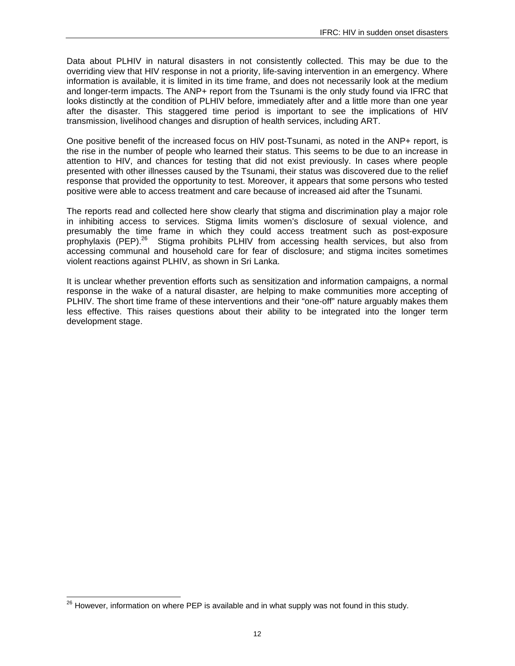Data about PLHIV in natural disasters in not consistently collected. This may be due to the overriding view that HIV response in not a priority, life-saving intervention in an emergency. Where information is available, it is limited in its time frame, and does not necessarily look at the medium and longer-term impacts. The ANP+ report from the Tsunami is the only study found via IFRC that looks distinctly at the condition of PLHIV before, immediately after and a little more than one year after the disaster. This staggered time period is important to see the implications of HIV transmission, livelihood changes and disruption of health services, including ART.

One positive benefit of the increased focus on HIV post-Tsunami, as noted in the ANP+ report, is the rise in the number of people who learned their status. This seems to be due to an increase in attention to HIV, and chances for testing that did not exist previously. In cases where people presented with other illnesses caused by the Tsunami, their status was discovered due to the relief response that provided the opportunity to test. Moreover, it appears that some persons who tested positive were able to access treatment and care because of increased aid after the Tsunami.

The reports read and collected here show clearly that stigma and discrimination play a major role in inhibiting access to services. Stigma limits women's disclosure of sexual violence, and presumably the time frame in which they could access treatment such as post-exposure prophylaxis (PEP).26 Stigma prohibits PLHIV from accessing health services, but also from accessing communal and household care for fear of disclosure; and stigma incites sometimes violent reactions against PLHIV, as shown in Sri Lanka.

It is unclear whether prevention efforts such as sensitization and information campaigns, a normal response in the wake of a natural disaster, are helping to make communities more accepting of PLHIV. The short time frame of these interventions and their "one-off" nature arguably makes them less effective. This raises questions about their ability to be integrated into the longer term development stage.

l

 $^{26}$  However, information on where PEP is available and in what supply was not found in this study.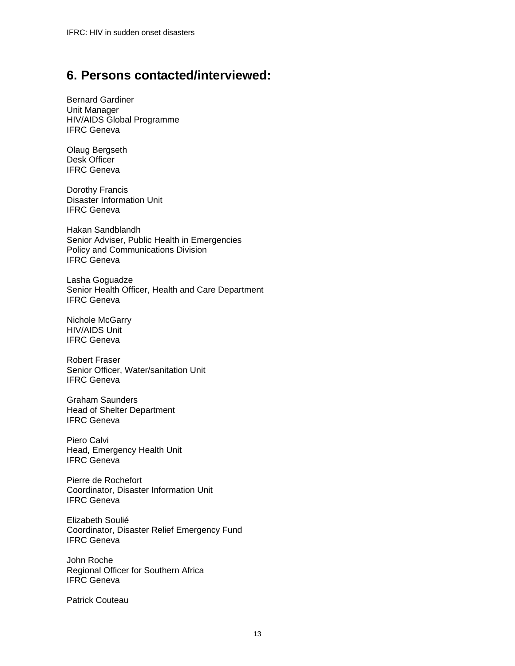## **6. Persons contacted/interviewed:**

Bernard Gardiner Unit Manager HIV/AIDS Global Programme IFRC Geneva

Olaug Bergseth Desk Officer IFRC Geneva

Dorothy Francis Disaster Information Unit IFRC Geneva

Hakan Sandblandh Senior Adviser, Public Health in Emergencies Policy and Communications Division IFRC Geneva

Lasha Goguadze Senior Health Officer, Health and Care Department IFRC Geneva

Nichole McGarry HIV/AIDS Unit IFRC Geneva

Robert Fraser Senior Officer, Water/sanitation Unit IFRC Geneva

Graham Saunders Head of Shelter Department IFRC Geneva

Piero Calvi Head, Emergency Health Unit IFRC Geneva

Pierre de Rochefort Coordinator, Disaster Information Unit IFRC Geneva

Elizabeth Soulié Coordinator, Disaster Relief Emergency Fund IFRC Geneva

John Roche Regional Officer for Southern Africa IFRC Geneva

Patrick Couteau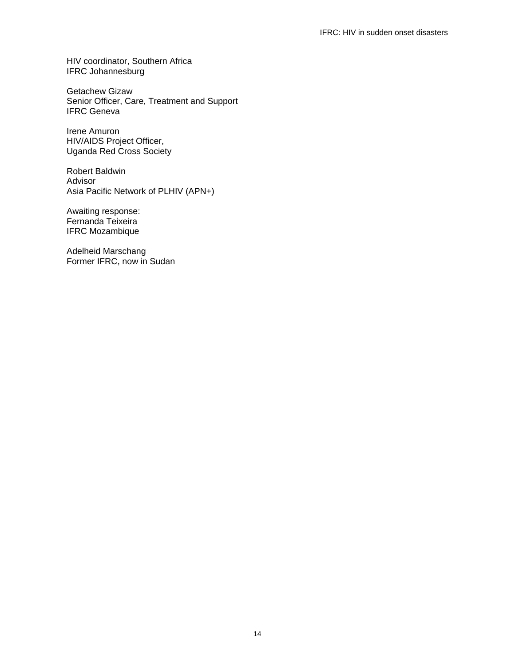HIV coordinator, Southern Africa IFRC Johannesburg

Getachew Gizaw Senior Officer, Care, Treatment and Support IFRC Geneva

Irene Amuron HIV/AIDS Project Officer, Uganda Red Cross Society

Robert Baldwin Advisor Asia Pacific Network of PLHIV (APN+)

Awaiting response: Fernanda Teixeira IFRC Mozambique

Adelheid Marschang Former IFRC, now in Sudan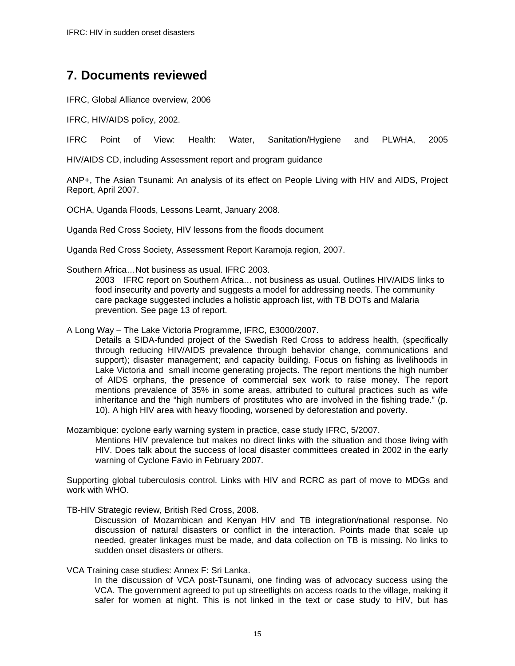## **7. Documents reviewed**

IFRC, Global Alliance overview, 2006

IFRC, HIV/AIDS policy, 2002.

IFRC Point of View: Health: Water, Sanitation/Hygiene and PLWHA, 2005

HIV/AIDS CD, including Assessment report and program guidance

ANP+, The Asian Tsunami: An analysis of its effect on People Living with HIV and AIDS, Project Report, April 2007.

OCHA, Uganda Floods, Lessons Learnt, January 2008.

Uganda Red Cross Society, HIV lessons from the floods document

Uganda Red Cross Society, Assessment Report Karamoja region, 2007.

Southern Africa…Not business as usual. IFRC 2003.

2003 IFRC report on Southern Africa… not business as usual. Outlines HIV/AIDS links to food insecurity and poverty and suggests a model for addressing needs. The community care package suggested includes a holistic approach list, with TB DOTs and Malaria prevention. See page 13 of report.

A Long Way – The Lake Victoria Programme, IFRC, E3000/2007.

Details a SIDA-funded project of the Swedish Red Cross to address health, (specifically through reducing HIV/AIDS prevalence through behavior change, communications and support); disaster management; and capacity building. Focus on fishing as livelihoods in Lake Victoria and small income generating projects. The report mentions the high number of AIDS orphans, the presence of commercial sex work to raise money. The report mentions prevalence of 35% in some areas, attributed to cultural practices such as wife inheritance and the "high numbers of prostitutes who are involved in the fishing trade." (p. 10). A high HIV area with heavy flooding, worsened by deforestation and poverty.

Mozambique: cyclone early warning system in practice, case study IFRC, 5/2007.

Mentions HIV prevalence but makes no direct links with the situation and those living with HIV. Does talk about the success of local disaster committees created in 2002 in the early warning of Cyclone Favio in February 2007.

Supporting global tuberculosis control. Links with HIV and RCRC as part of move to MDGs and work with WHO.

TB-HIV Strategic review, British Red Cross, 2008.

Discussion of Mozambican and Kenyan HIV and TB integration/national response. No discussion of natural disasters or conflict in the interaction. Points made that scale up needed, greater linkages must be made, and data collection on TB is missing. No links to sudden onset disasters or others.

VCA Training case studies: Annex F: Sri Lanka.

In the discussion of VCA post-Tsunami, one finding was of advocacy success using the VCA. The government agreed to put up streetlights on access roads to the village, making it safer for women at night. This is not linked in the text or case study to HIV, but has